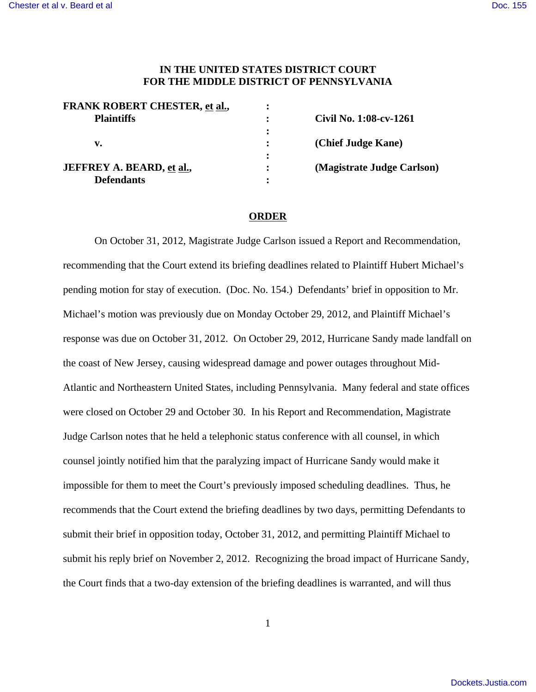## **IN THE UNITED STATES DISTRICT COURT FOR THE MIDDLE DISTRICT OF PENNSYLVANIA**

| <b>FRANK ROBERT CHESTER, et al.,</b> |                            |
|--------------------------------------|----------------------------|
| <b>Plaintiffs</b>                    | Civil No. 1:08-cv-1261     |
|                                      |                            |
| v.                                   | (Chief Judge Kane)         |
|                                      |                            |
| <b>JEFFREY A. BEARD, et al.,</b>     | (Magistrate Judge Carlson) |
| <b>Defendants</b>                    |                            |

## **ORDER**

On October 31, 2012, Magistrate Judge Carlson issued a Report and Recommendation, recommending that the Court extend its briefing deadlines related to Plaintiff Hubert Michael's pending motion for stay of execution. (Doc. No. 154.) Defendants' brief in opposition to Mr. Michael's motion was previously due on Monday October 29, 2012, and Plaintiff Michael's response was due on October 31, 2012. On October 29, 2012, Hurricane Sandy made landfall on the coast of New Jersey, causing widespread damage and power outages throughout Mid-Atlantic and Northeastern United States, including Pennsylvania. Many federal and state offices were closed on October 29 and October 30. In his Report and Recommendation, Magistrate Judge Carlson notes that he held a telephonic status conference with all counsel, in which counsel jointly notified him that the paralyzing impact of Hurricane Sandy would make it impossible for them to meet the Court's previously imposed scheduling deadlines. Thus, he recommends that the Court extend the briefing deadlines by two days, permitting Defendants to submit their brief in opposition today, October 31, 2012, and permitting Plaintiff Michael to submit his reply brief on November 2, 2012. Recognizing the broad impact of Hurricane Sandy, the Court finds that a two-day extension of the briefing deadlines is warranted, and will thus